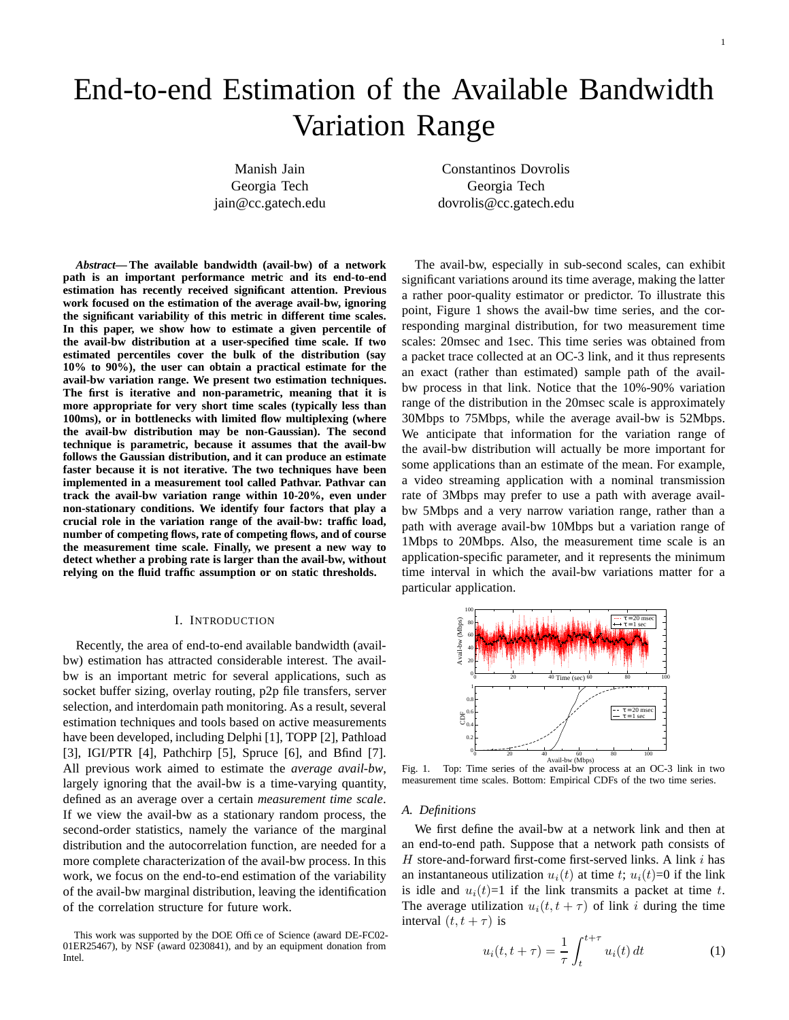# End-to-end Estimation of the Available Bandwidth Variation Range

Manish Jain Constantinos Dovrolis Georgia Tech Georgia Tech jain@cc.gatech.edu dovrolis@cc.gatech.edu

*Abstract***— The available bandwidth (avail-bw) of a network path is an important performance metric and its end-to-end estimation has recently received significant attention. Previous work focused on the estimation of the average avail-bw, ignoring the significant variability of this metric in different time scales. In this paper, we show how to estimate a given percentile of the avail-bw distribution at a user-specified time scale. If two estimated percentiles cover the bulk of the distribution (say 10% to 90%), the user can obtain a practical estimate for the avail-bw variation range. We present two estimation techniques. The first is iterative and non-parametric, meaning that it is more appropriate for very short time scales (typically less than 100ms), or in bottlenecks with limited flow multiplexing (where the avail-bw distribution may be non-Gaussian). The second technique is parametric, because it assumes that the avail-bw follows the Gaussian distribution, and it can produce an estimate faster because it is not iterative. The two techniques have been implemented in a measurement tool called Pathvar. Pathvar can track the avail-bw variation range within 10-20%, even under non-stationary conditions. We identify four factors that play a crucial role in the variation range of the avail-bw: traffic load, number of competing flows, rate of competing flows, and of course the measurement time scale. Finally, we present a new way to detect whether a probing rate is larger than the avail-bw, without relying on the fluid traffic assumption or on static thresholds.**

## I. INTRODUCTION

Recently, the area of end-to-end available bandwidth (availbw) estimation has attracted considerable interest. The availbw is an important metric for several applications, such as socket buffer sizing, overlay routing, p2p file transfers, server selection, and interdomain path monitoring. As a result, several estimation techniques and tools based on active measurements have been developed, including Delphi [1], TOPP [2], Pathload [3], IGI/PTR [4], Pathchirp [5], Spruce [6], and Bfind [7]. All previous work aimed to estimate the *average avail-bw*, largely ignoring that the avail-bw is a time-varying quantity, defined as an average over a certain *measurement time scale*. If we view the avail-bw as a stationary random process, the second-order statistics, namely the variance of the marginal distribution and the autocorrelation function, are needed for a more complete characterization of the avail-bw process. In this work, we focus on the end-to-end estimation of the variability of the avail-bw marginal distribution, leaving the identification of the correlation structure for future work.

The avail-bw, especially in sub-second scales, can exhibit significant variations around its time average, making the latter a rather poor-quality estimator or predictor. To illustrate this point, Figure 1 shows the avail-bw time series, and the corresponding marginal distribution, for two measurement time scales: 20msec and 1sec. This time series was obtained from a packet trace collected at an OC-3 link, and it thus represents an exact (rather than estimated) sample path of the availbw process in that link. Notice that the 10%-90% variation range of the distribution in the 20msec scale is approximately 30Mbps to 75Mbps, while the average avail-bw is 52Mbps. We anticipate that information for the variation range of the avail-bw distribution will actually be more important for some applications than an estimate of the mean. For example, a video streaming application with a nominal transmission rate of 3Mbps may prefer to use a path with average availbw 5Mbps and a very narrow variation range, rather than a path with average avail-bw 10Mbps but a variation range of 1Mbps to 20Mbps. Also, the measurement time scale is an application-specific parameter, and it represents the minimum time interval in which the avail-bw variations matter for a particular application.



Fig. 1. Top: Time series of the avail-bw process at an OC-3 link in two measurement time scales. Bottom: Empirical CDFs of the two time series.

#### *A. Definitions*

We first define the avail-bw at a network link and then at an end-to-end path. Suppose that a network path consists of  $H$  store-and-forward first-come first-served links. A link  $i$  has an instantaneous utilization  $u_i(t)$  at time t;  $u_i(t)=0$  if the link is idle and  $u_i(t)=1$  if the link transmits a packet at time t. The average utilization  $u_i(t, t + \tau)$  of link i during the time interval  $(t, t + \tau)$  is

$$
u_i(t, t + \tau) = \frac{1}{\tau} \int_{t}^{t + \tau} u_i(t) dt
$$
 (1)

This work was supported by the DOE Office of Science (award DE-FC02- 01ER25467), by NSF (award 0230841), and by an equipment donation from Intel.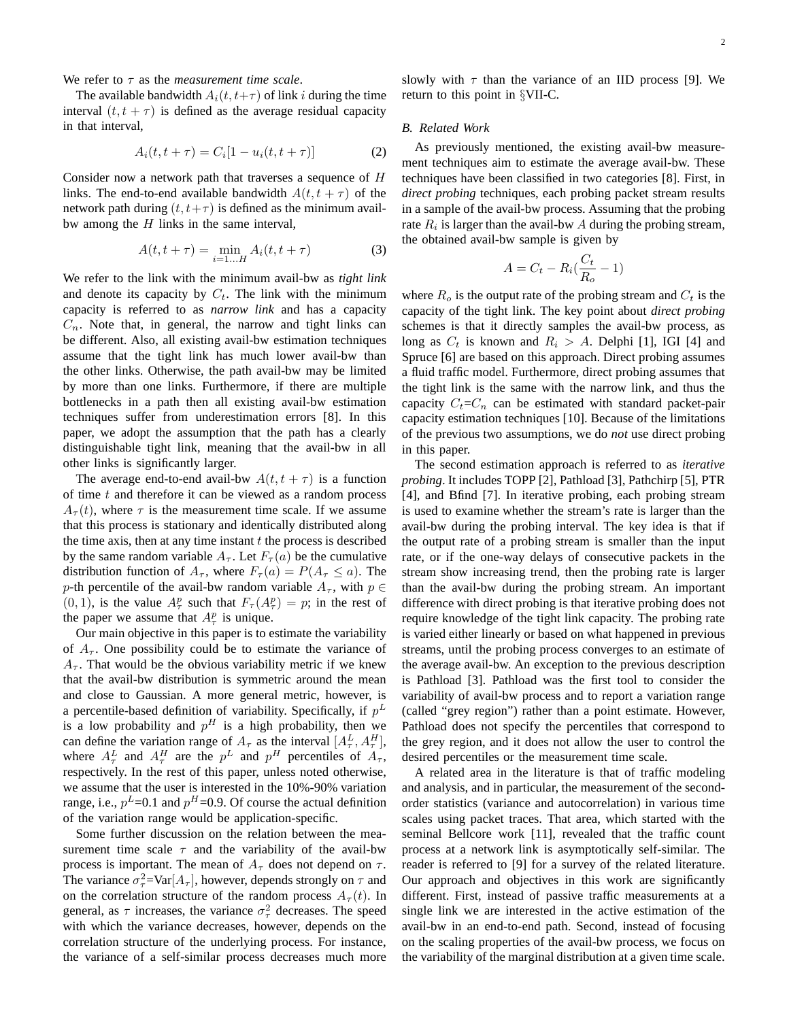We refer to  $\tau$  as the *measurement time scale*.

The available bandwidth  $A_i(t, t+\tau)$  of link i during the time interval  $(t, t + \tau)$  is defined as the average residual capacity in that interval,

$$
A_i(t, t + \tau) = C_i[1 - u_i(t, t + \tau)]
$$
 (2)

Consider now a network path that traverses a sequence of H links. The end-to-end available bandwidth  $A(t, t + \tau)$  of the network path during  $(t, t+\tau)$  is defined as the minimum availbw among the  $H$  links in the same interval,

$$
A(t, t + \tau) = \min_{i=1...H} A_i(t, t + \tau)
$$
 (3)

We refer to the link with the minimum avail-bw as *tight link* and denote its capacity by  $C_t$ . The link with the minimum capacity is referred to as *narrow link* and has a capacity  $C_n$ . Note that, in general, the narrow and tight links can be different. Also, all existing avail-bw estimation techniques assume that the tight link has much lower avail-bw than the other links. Otherwise, the path avail-bw may be limited by more than one links. Furthermore, if there are multiple bottlenecks in a path then all existing avail-bw estimation techniques suffer from underestimation errors [8]. In this paper, we adopt the assumption that the path has a clearly distinguishable tight link, meaning that the avail-bw in all other links is significantly larger.

The average end-to-end avail-bw  $A(t, t + \tau)$  is a function of time  $t$  and therefore it can be viewed as a random process  $A_{\tau}(t)$ , where  $\tau$  is the measurement time scale. If we assume that this process is stationary and identically distributed along the time axis, then at any time instant  $t$  the process is described by the same random variable  $A_{\tau}$ . Let  $F_{\tau}(a)$  be the cumulative distribution function of  $A_{\tau}$ , where  $F_{\tau}(a) = P(A_{\tau} \le a)$ . The p-th percentile of the avail-bw random variable  $A_{\tau}$ , with  $p \in$  $(0, 1)$ , is the value  $A^p_\tau$  such that  $F_\tau(A^p_\tau) = p$ ; in the rest of the paper we assume that  $A^p_\tau$  is unique.

Our main objective in this paper is to estimate the variability of  $A_{\tau}$ . One possibility could be to estimate the variance of  $A_{\tau}$ . That would be the obvious variability metric if we knew that the avail-bw distribution is symmetric around the mean and close to Gaussian. A more general metric, however, is a percentile-based definition of variability. Specifically, if  $p^L$ is a low probability and  $p<sup>H</sup>$  is a high probability, then we can define the variation range of  $A_\tau$  as the interval  $[A_\tau^L, A_\tau^H]$ , where  $A_{\tau}^{L}$  and  $A_{\tau}^{H}$  are the  $p^{L}$  and  $p^{H}$  percentiles of  $A_{\tau}$ , respectively. In the rest of this paper, unless noted otherwise, we assume that the user is interested in the 10%-90% variation range, i.e.,  $p^L$ =0.1 and  $p^H$ =0.9. Of course the actual definition of the variation range would be application-specific.

Some further discussion on the relation between the measurement time scale  $\tau$  and the variability of the avail-bw process is important. The mean of  $A_\tau$  does not depend on  $\tau$ . The variance  $\sigma_{\tau}^2 = \text{Var}[A_{\tau}]$ , however, depends strongly on  $\tau$  and on the correlation structure of the random process  $A_{\tau}(t)$ . In general, as  $\tau$  increases, the variance  $\sigma_{\tau}^2$  decreases. The speed with which the variance decreases, however, depends on the correlation structure of the underlying process. For instance, the variance of a self-similar process decreases much more

slowly with  $\tau$  than the variance of an IID process [9]. We return to this point in §VII-C.

#### *B. Related Work*

As previously mentioned, the existing avail-bw measurement techniques aim to estimate the average avail-bw. These techniques have been classified in two categories [8]. First, in *direct probing* techniques, each probing packet stream results in a sample of the avail-bw process. Assuming that the probing rate  $R_i$  is larger than the avail-bw A during the probing stream, the obtained avail-bw sample is given by

$$
A = C_t - R_i \left(\frac{C_t}{R_o} - 1\right)
$$

where  $R_o$  is the output rate of the probing stream and  $C_t$  is the capacity of the tight link. The key point about *direct probing* schemes is that it directly samples the avail-bw process, as long as  $C_t$  is known and  $R_i > A$ . Delphi [1], IGI [4] and Spruce [6] are based on this approach. Direct probing assumes a fluid traffic model. Furthermore, direct probing assumes that the tight link is the same with the narrow link, and thus the capacity  $C_t=C_n$  can be estimated with standard packet-pair capacity estimation techniques [10]. Because of the limitations of the previous two assumptions, we do *not* use direct probing in this paper.

The second estimation approach is referred to as *iterative probing*. It includes TOPP [2], Pathload [3], Pathchirp [5], PTR [4], and Bfind [7]. In iterative probing, each probing stream is used to examine whether the stream's rate is larger than the avail-bw during the probing interval. The key idea is that if the output rate of a probing stream is smaller than the input rate, or if the one-way delays of consecutive packets in the stream show increasing trend, then the probing rate is larger than the avail-bw during the probing stream. An important difference with direct probing is that iterative probing does not require knowledge of the tight link capacity. The probing rate is varied either linearly or based on what happened in previous streams, until the probing process converges to an estimate of the average avail-bw. An exception to the previous description is Pathload [3]. Pathload was the first tool to consider the variability of avail-bw process and to report a variation range (called "grey region") rather than a point estimate. However, Pathload does not specify the percentiles that correspond to the grey region, and it does not allow the user to control the desired percentiles or the measurement time scale.

A related area in the literature is that of traffic modeling and analysis, and in particular, the measurement of the secondorder statistics (variance and autocorrelation) in various time scales using packet traces. That area, which started with the seminal Bellcore work [11], revealed that the traffic count process at a network link is asymptotically self-similar. The reader is referred to [9] for a survey of the related literature. Our approach and objectives in this work are significantly different. First, instead of passive traffic measurements at a single link we are interested in the active estimation of the avail-bw in an end-to-end path. Second, instead of focusing on the scaling properties of the avail-bw process, we focus on the variability of the marginal distribution at a given time scale.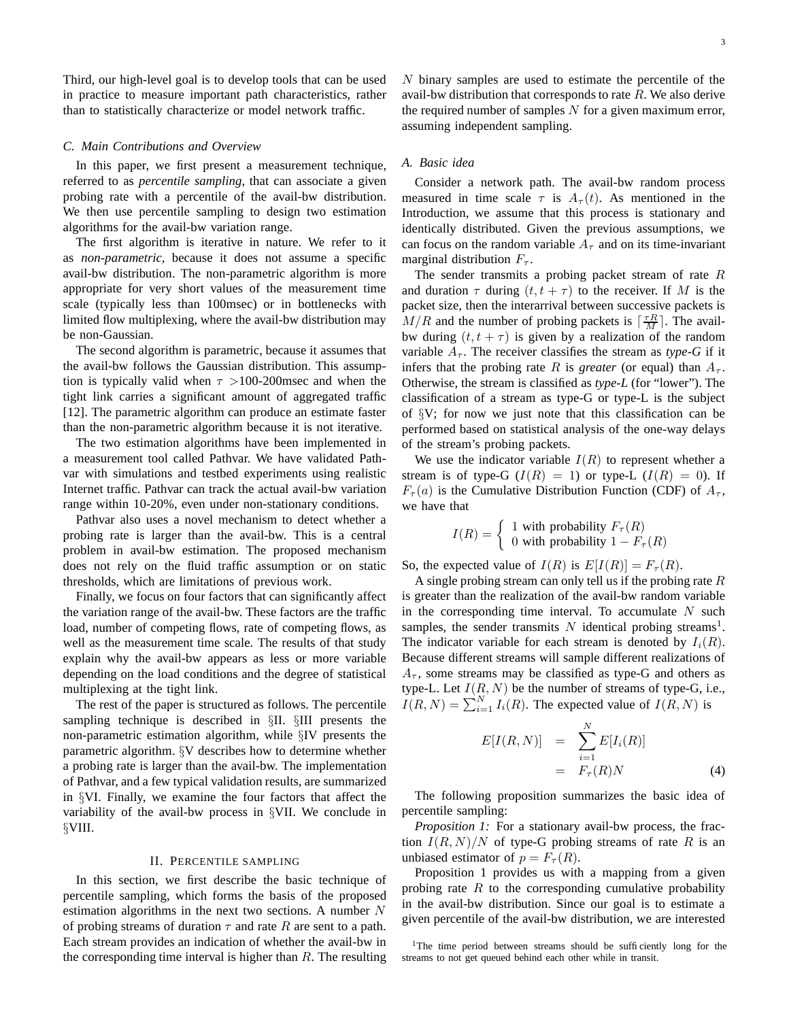Third, our high-level goal is to develop tools that can be used in practice to measure important path characteristics, rather than to statistically characterize or model network traffic.

## *C. Main Contributions and Overview*

In this paper, we first present a measurement technique, referred to as *percentile sampling*, that can associate a given probing rate with a percentile of the avail-bw distribution. We then use percentile sampling to design two estimation algorithms for the avail-bw variation range.

The first algorithm is iterative in nature. We refer to it as *non-parametric*, because it does not assume a specific avail-bw distribution. The non-parametric algorithm is more appropriate for very short values of the measurement time scale (typically less than 100msec) or in bottlenecks with limited flow multiplexing, where the avail-bw distribution may be non-Gaussian.

The second algorithm is parametric, because it assumes that the avail-bw follows the Gaussian distribution. This assumption is typically valid when  $\tau > 100{\text -}200$  msec and when the tight link carries a significant amount of aggregated traffic [12]. The parametric algorithm can produce an estimate faster than the non-parametric algorithm because it is not iterative.

The two estimation algorithms have been implemented in a measurement tool called Pathvar. We have validated Pathvar with simulations and testbed experiments using realistic Internet traffic. Pathvar can track the actual avail-bw variation range within 10-20%, even under non-stationary conditions.

Pathvar also uses a novel mechanism to detect whether a probing rate is larger than the avail-bw. This is a central problem in avail-bw estimation. The proposed mechanism does not rely on the fluid traffic assumption or on static thresholds, which are limitations of previous work.

Finally, we focus on four factors that can significantly affect the variation range of the avail-bw. These factors are the traffic load, number of competing flows, rate of competing flows, as well as the measurement time scale. The results of that study explain why the avail-bw appears as less or more variable depending on the load conditions and the degree of statistical multiplexing at the tight link.

The rest of the paper is structured as follows. The percentile sampling technique is described in §II. §III presents the non-parametric estimation algorithm, while §IV presents the parametric algorithm. §V describes how to determine whether a probing rate is larger than the avail-bw. The implementation of Pathvar, and a few typical validation results, are summarized in §VI. Finally, we examine the four factors that affect the variability of the avail-bw process in §VII. We conclude in §VIII.

## II. PERCENTILE SAMPLING

In this section, we first describe the basic technique of percentile sampling, which forms the basis of the proposed estimation algorithms in the next two sections. A number N of probing streams of duration  $\tau$  and rate R are sent to a path. Each stream provides an indication of whether the avail-bw in the corresponding time interval is higher than  $R$ . The resulting N binary samples are used to estimate the percentile of the avail-bw distribution that corresponds to rate  $R$ . We also derive the required number of samples  $N$  for a given maximum error, assuming independent sampling.

## *A. Basic idea*

Consider a network path. The avail-bw random process measured in time scale  $\tau$  is  $A_{\tau}(t)$ . As mentioned in the Introduction, we assume that this process is stationary and identically distributed. Given the previous assumptions, we can focus on the random variable  $A_{\tau}$  and on its time-invariant marginal distribution  $F_{\tau}$ .

The sender transmits a probing packet stream of rate  $R$ and duration  $\tau$  during  $(t, t + \tau)$  to the receiver. If M is the packet size, then the interarrival between successive packets is  $M/R$  and the number of probing packets is  $\lceil \frac{\tau R}{M} \rceil$ . The availbw during  $(t, t + \tau)$  is given by a realization of the random variable  $A_{\tau}$ . The receiver classifies the stream as *type-G* if it infers that the probing rate R is *greater* (or equal) than  $A_{\tau}$ . Otherwise, the stream is classified as *type-L* (for "lower"). The classification of a stream as type-G or type-L is the subject of §V; for now we just note that this classification can be performed based on statistical analysis of the one-way delays of the stream's probing packets.

We use the indicator variable  $I(R)$  to represent whether a stream is of type-G  $(I(R) = 1)$  or type-L  $(I(R) = 0)$ . If  $F_{\tau}(a)$  is the Cumulative Distribution Function (CDF) of  $A_{\tau}$ , we have that

$$
I(R) = \begin{cases} 1 & \text{with probability } F_{\tau}(R) \\ 0 & \text{with probability } 1 - F_{\tau}(R) \end{cases}
$$

So, the expected value of  $I(R)$  is  $E[I(R)] = F_{\tau}(R)$ .

A single probing stream can only tell us if the probing rate  $R$ is greater than the realization of the avail-bw random variable in the corresponding time interval. To accumulate  $N$  such samples, the sender transmits  $N$  identical probing streams<sup>1</sup>. The indicator variable for each stream is denoted by  $I_i(R)$ . Because different streams will sample different realizations of  $A_{\tau}$ , some streams may be classified as type-G and others as type-L. Let  $I(R, N)$  be the number of streams of type-G, i.e.,  $I(R, N) = \sum_{i=1}^{N} I_i(R)$ . The expected value of  $I(R, N)$  is

$$
E[I(R,N)] = \sum_{i=1}^{N} E[I_i(R)]
$$
  
=  $F_{\tau}(R)N$  (4)

The following proposition summarizes the basic idea of percentile sampling:

*Proposition 1:* For a stationary avail-bw process, the fraction  $I(R, N)/N$  of type-G probing streams of rate R is an unbiased estimator of  $p = F<sub>\tau</sub>(R)$ .

Proposition 1 provides us with a mapping from a given probing rate  $R$  to the corresponding cumulative probability in the avail-bw distribution. Since our goal is to estimate a given percentile of the avail-bw distribution, we are interested

<sup>&</sup>lt;sup>1</sup>The time period between streams should be sufficiently long for the streams to not get queued behind each other while in transit.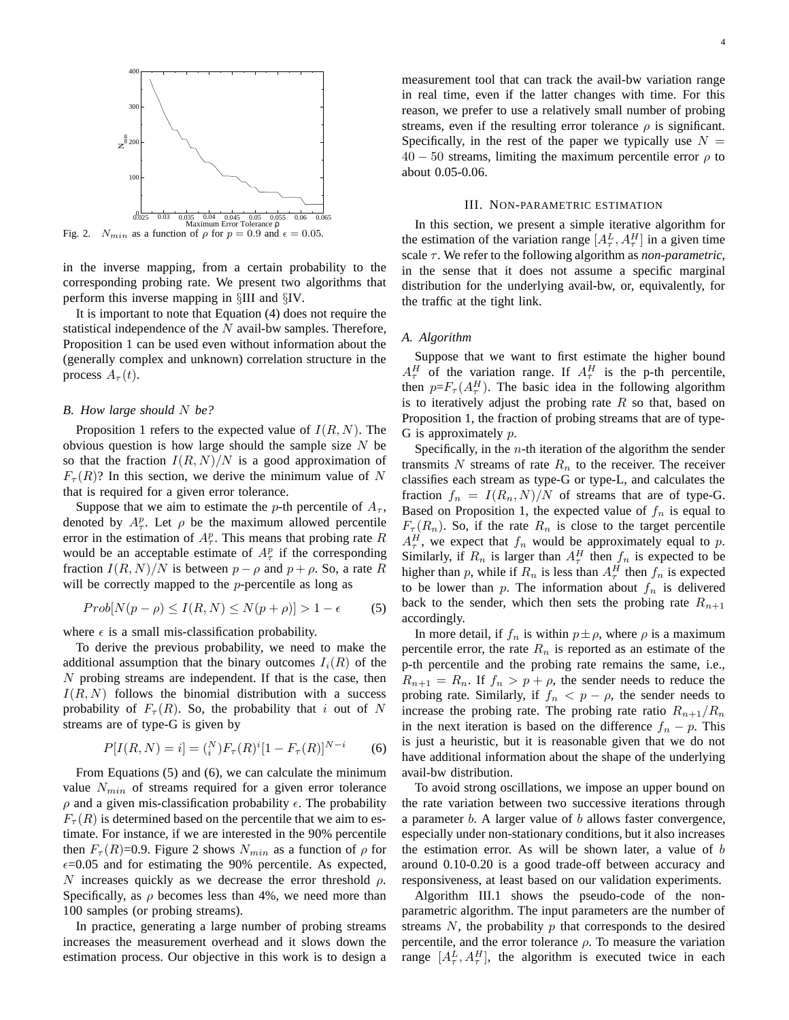

in the inverse mapping, from a certain probability to the corresponding probing rate. We present two algorithms that perform this inverse mapping in §III and §IV.

It is important to note that Equation (4) does not require the statistical independence of the  $N$  avail-bw samples. Therefore, Proposition 1 can be used even without information about the (generally complex and unknown) correlation structure in the process  $A_{\tau}(t)$ .

## *B. How large should* N *be?*

Proposition 1 refers to the expected value of  $I(R, N)$ . The obvious question is how large should the sample size  $N$  be so that the fraction  $I(R, N)/N$  is a good approximation of  $F_{\tau}(R)$ ? In this section, we derive the minimum value of N that is required for a given error tolerance.

Suppose that we aim to estimate the p-th percentile of  $A_{\tau}$ , denoted by  $A^p_\tau$ . Let  $\rho$  be the maximum allowed percentile error in the estimation of  $A^p_\tau$ . This means that probing rate R would be an acceptable estimate of  $A^p_\tau$  if the corresponding fraction  $I(R, N)/N$  is between  $p - \rho$  and  $p + \rho$ . So, a rate R will be correctly mapped to the *p*-percentile as long as

$$
Prob[N(p - \rho) \le I(R, N) \le N(p + \rho)] > 1 - \epsilon
$$
 (5)

where  $\epsilon$  is a small mis-classification probability.

To derive the previous probability, we need to make the additional assumption that the binary outcomes  $I_i(R)$  of the N probing streams are independent. If that is the case, then  $I(R, N)$  follows the binomial distribution with a success probability of  $F_\tau(R)$ . So, the probability that i out of N streams are of type-G is given by

$$
P[I(R, N) = i] = \binom{N}{i} F_{\tau}(R)^{i} [1 - F_{\tau}(R)]^{N-i} \tag{6}
$$

From Equations (5) and (6), we can calculate the minimum value  $N_{min}$  of streams required for a given error tolerance  $\rho$  and a given mis-classification probability  $\epsilon$ . The probability  $F_{\tau}(R)$  is determined based on the percentile that we aim to estimate. For instance, if we are interested in the 90% percentile then  $F_{\tau}(R)$ =0.9. Figure 2 shows  $N_{min}$  as a function of  $\rho$  for  $\epsilon$ =0.05 and for estimating the 90% percentile. As expected, N increases quickly as we decrease the error threshold  $\rho$ . Specifically, as  $\rho$  becomes less than 4%, we need more than 100 samples (or probing streams).

In practice, generating a large number of probing streams increases the measurement overhead and it slows down the estimation process. Our objective in this work is to design a measurement tool that can track the avail-bw variation range in real time, even if the latter changes with time. For this reason, we prefer to use a relatively small number of probing streams, even if the resulting error tolerance  $\rho$  is significant. Specifically, in the rest of the paper we typically use  $N =$  $40 - 50$  streams, limiting the maximum percentile error  $\rho$  to about 0.05-0.06.

## III. NON-PARAMETRIC ESTIMATION

In this section, we present a simple iterative algorithm for the estimation of the variation range  $[A_\tau^L, A_\tau^H]$  in a given time scale  $\tau$ . We refer to the following algorithm as *non-parametric*, in the sense that it does not assume a specific marginal distribution for the underlying avail-bw, or, equivalently, for the traffic at the tight link.

#### *A. Algorithm*

Suppose that we want to first estimate the higher bound  $A_\tau^H$  of the variation range. If  $A_\tau^H$  is the p-th percentile, then  $p = F_{\tau} (A_{\tau}^{H})$ . The basic idea in the following algorithm is to iteratively adjust the probing rate  $R$  so that, based on Proposition 1, the fraction of probing streams that are of type-G is approximately p.

Specifically, in the  $n$ -th iteration of the algorithm the sender transmits N streams of rate  $R_n$  to the receiver. The receiver classifies each stream as type-G or type-L, and calculates the fraction  $f_n = I(R_n, N)/N$  of streams that are of type-G. Based on Proposition 1, the expected value of  $f_n$  is equal to  $F_{\tau}(R_n)$ . So, if the rate  $R_n$  is close to the target percentile  $A_\tau^H$ , we expect that  $f_n$  would be approximately equal to p. Similarly, if  $R_n$  is larger than  $A_\tau^H$  then  $f_n$  is expected to be higher than p, while if  $R_n$  is less than  $A_\tau^H$  then  $f_n$  is expected to be lower than p. The information about  $f_n$  is delivered back to the sender, which then sets the probing rate  $R_{n+1}$ accordingly.

In more detail, if  $f_n$  is within  $p \pm \rho$ , where  $\rho$  is a maximum percentile error, the rate  $R_n$  is reported as an estimate of the p-th percentile and the probing rate remains the same, i.e.,  $R_{n+1} = R_n$ . If  $f_n > p + \rho$ , the sender needs to reduce the probing rate. Similarly, if  $f_n < p - \rho$ , the sender needs to increase the probing rate. The probing rate ratio  $R_{n+1}/R_n$ in the next iteration is based on the difference  $f_n - p$ . This is just a heuristic, but it is reasonable given that we do not have additional information about the shape of the underlying avail-bw distribution.

To avoid strong oscillations, we impose an upper bound on the rate variation between two successive iterations through a parameter b. A larger value of b allows faster convergence, especially under non-stationary conditions, but it also increases the estimation error. As will be shown later, a value of  $b$ around 0.10-0.20 is a good trade-off between accuracy and responsiveness, at least based on our validation experiments.

Algorithm III.1 shows the pseudo-code of the nonparametric algorithm. The input parameters are the number of streams  $N$ , the probability  $p$  that corresponds to the desired percentile, and the error tolerance  $\rho$ . To measure the variation range  $[A_\tau^L, A_\tau^H]$ , the algorithm is executed twice in each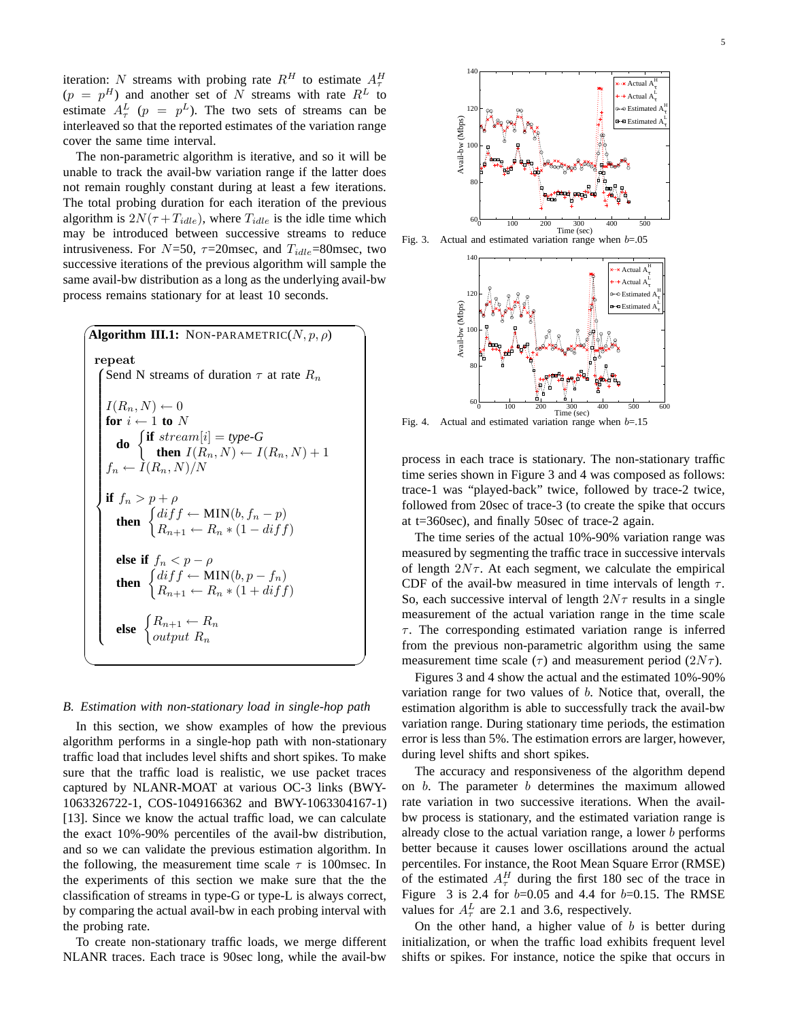iteration: N streams with probing rate  $R^H$  to estimate  $A^H_\tau$  $(p = p<sup>H</sup>)$  and another set of N streams with rate  $R<sup>L</sup>$  to estimate  $A^L_\tau$  ( $p = p^L$ ). The two sets of streams can be interleaved so that the reported estimates of the variation range cover the same time interval.

The non-parametric algorithm is iterative, and so it will be unable to track the avail-bw variation range if the latter does not remain roughly constant during at least a few iterations. The total probing duration for each iteration of the previous algorithm is  $2N(\tau + T_{idle})$ , where  $T_{idle}$  is the idle time which may be introduced between successive streams to reduce intrusiveness. For  $N=50$ ,  $\tau=20$ msec, and  $T_{idle}=80$ msec, two successive iterations of the previous algorithm will sample the same avail-bw distribution as a long as the underlying avail-bw process remains stationary for at least 10 seconds.

| <b>Algorithm III.1:</b> NON-PARAMETRIC $(N, p, \rho)$                                                                                                                            |
|----------------------------------------------------------------------------------------------------------------------------------------------------------------------------------|
| repeat<br>Send N streams of duration $\tau$ at rate $R_n$                                                                                                                        |
| $I(R_n, N) \leftarrow 0$<br>for $i \leftarrow 1$ to $N$<br>do $\begin{cases}$ if stream[i] = type-G<br>then $I(R_n, N) \leftarrow I(R_n, N) + 1$<br>$f_n \leftarrow I(R_n, N)/N$ |
| if $f_n > p + \rho$<br>then $\begin{cases} diff \leftarrow MIN(b, f_n - p) \\ R_{n+1} \leftarrow R_n * (1 - diff) \end{cases}$                                                   |
| else if $f_n < p - \rho$<br><b>then</b> $\begin{cases} diff \leftarrow MIN(b, p - f_n) \\ R_{n+1} \leftarrow R_n * (1 + diff) \end{cases}$                                       |
| else $\begin{cases} R_{n+1} \leftarrow R_n \\ output R_n \end{cases}$                                                                                                            |

#### *B. Estimation with non-stationary load in single-hop path*

In this section, we show examples of how the previous algorithm performs in a single-hop path with non-stationary traffic load that includes level shifts and short spikes. To make sure that the traffic load is realistic, we use packet traces captured by NLANR-MOAT at various OC-3 links (BWY-1063326722-1, COS-1049166362 and BWY-1063304167-1) [13]. Since we know the actual traffic load, we can calculate the exact 10%-90% percentiles of the avail-bw distribution, and so we can validate the previous estimation algorithm. In the following, the measurement time scale  $\tau$  is 100msec. In the experiments of this section we make sure that the the classification of streams in type-G or type-L is always correct, by comparing the actual avail-bw in each probing interval with the probing rate.

To create non-stationary traffic loads, we merge different NLANR traces. Each trace is 90sec long, while the avail-bw



Fig. 3. Actual and estimated variation range when  $b=0.05$ 



Fig. 4. Actual and estimated variation range when  $b=15$ 

process in each trace is stationary. The non-stationary traffic time series shown in Figure 3 and 4 was composed as follows: trace-1 was "played-back" twice, followed by trace-2 twice, followed from 20sec of trace-3 (to create the spike that occurs at t=360sec), and finally 50sec of trace-2 again.

The time series of the actual 10%-90% variation range was measured by segmenting the traffic trace in successive intervals of length  $2N\tau$ . At each segment, we calculate the empirical CDF of the avail-bw measured in time intervals of length  $\tau$ . So, each successive interval of length  $2N\tau$  results in a single measurement of the actual variation range in the time scale  $\tau$ . The corresponding estimated variation range is inferred from the previous non-parametric algorithm using the same measurement time scale ( $\tau$ ) and measurement period ( $2N\tau$ ).

Figures 3 and 4 show the actual and the estimated 10%-90% variation range for two values of b. Notice that, overall, the estimation algorithm is able to successfully track the avail-bw variation range. During stationary time periods, the estimation error is less than 5%. The estimation errors are larger, however, during level shifts and short spikes.

The accuracy and responsiveness of the algorithm depend on  $b$ . The parameter  $b$  determines the maximum allowed rate variation in two successive iterations. When the availbw process is stationary, and the estimated variation range is already close to the actual variation range, a lower b performs better because it causes lower oscillations around the actual percentiles. For instance, the Root Mean Square Error (RMSE) of the estimated  $A_\tau^H$  during the first 180 sec of the trace in Figure 3 is 2.4 for  $b=0.05$  and 4.4 for  $b=0.15$ . The RMSE values for  $A_\tau^L$  are 2.1 and 3.6, respectively.

On the other hand, a higher value of  $b$  is better during initialization, or when the traffic load exhibits frequent level shifts or spikes. For instance, notice the spike that occurs in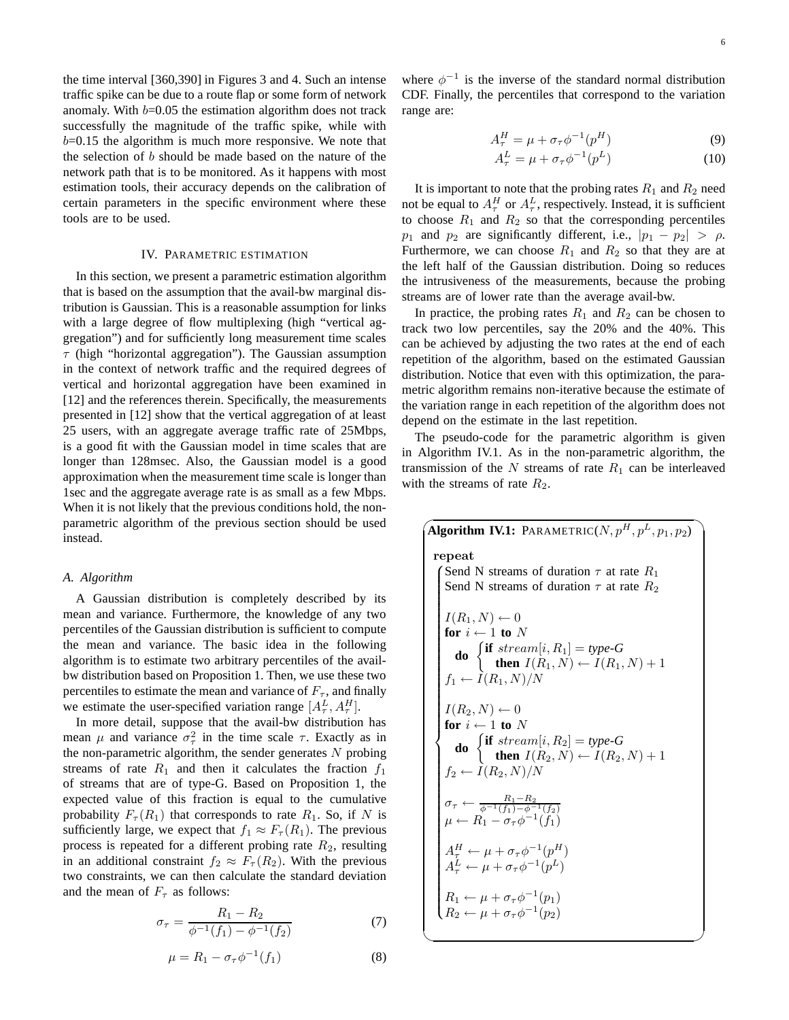the time interval [360,390] in Figures 3 and 4. Such an intense traffic spike can be due to a route flap or some form of network anomaly. With  $b=0.05$  the estimation algorithm does not track successfully the magnitude of the traffic spike, while with  $b=0.15$  the algorithm is much more responsive. We note that the selection of b should be made based on the nature of the network path that is to be monitored. As it happens with most estimation tools, their accuracy depends on the calibration of certain parameters in the specific environment where these tools are to be used.

## IV. PARAMETRIC ESTIMATION

In this section, we present a parametric estimation algorithm that is based on the assumption that the avail-bw marginal distribution is Gaussian. This is a reasonable assumption for links with a large degree of flow multiplexing (high "vertical aggregation") and for sufficiently long measurement time scales  $\tau$  (high "horizontal aggregation"). The Gaussian assumption in the context of network traffic and the required degrees of vertical and horizontal aggregation have been examined in [12] and the references therein. Specifically, the measurements presented in [12] show that the vertical aggregation of at least 25 users, with an aggregate average traffic rate of 25Mbps, is a good fit with the Gaussian model in time scales that are longer than 128msec. Also, the Gaussian model is a good approximation when the measurement time scale is longer than 1sec and the aggregate average rate is as small as a few Mbps. When it is not likely that the previous conditions hold, the nonparametric algorithm of the previous section should be used instead.

#### *A. Algorithm*

A Gaussian distribution is completely described by its mean and variance. Furthermore, the knowledge of any two percentiles of the Gaussian distribution is sufficient to compute the mean and variance. The basic idea in the following algorithm is to estimate two arbitrary percentiles of the availbw distribution based on Proposition 1. Then, we use these two percentiles to estimate the mean and variance of  $F_{\tau}$ , and finally we estimate the user-specified variation range  $[A_\tau^L, A_\tau^H]$ .

In more detail, suppose that the avail-bw distribution has mean  $\mu$  and variance  $\sigma_{\tau}^2$  in the time scale  $\tau$ . Exactly as in the non-parametric algorithm, the sender generates  $N$  probing streams of rate  $R_1$  and then it calculates the fraction  $f_1$ of streams that are of type-G. Based on Proposition 1, the expected value of this fraction is equal to the cumulative probability  $F_{\tau}(R_1)$  that corresponds to rate  $R_1$ . So, if N is sufficiently large, we expect that  $f_1 \approx F_\tau(R_1)$ . The previous process is repeated for a different probing rate  $R_2$ , resulting in an additional constraint  $f_2 \approx F_\tau(R_2)$ . With the previous two constraints, we can then calculate the standard deviation and the mean of  $F_{\tau}$  as follows:

$$
\sigma_{\tau} = \frac{R_1 - R_2}{\phi^{-1}(f_1) - \phi^{-1}(f_2)}\tag{7}
$$

$$
\mu = R_1 - \sigma_\tau \phi^{-1}(f_1) \tag{8}
$$

✍

where  $\phi^{-1}$  is the inverse of the standard normal distribution CDF. Finally, the percentiles that correspond to the variation range are:

$$
A_{\tau}^{H} = \mu + \sigma_{\tau} \phi^{-1}(p^{H})
$$
\n(9)

$$
A_{\tau}^{L} = \mu + \sigma_{\tau} \phi^{-1}(p^{L})
$$
 (10)

It is important to note that the probing rates  $R_1$  and  $R_2$  need not be equal to  $A_{\tau}^{H}$  or  $A_{\tau}^{L}$ , respectively. Instead, it is sufficient to choose  $R_1$  and  $R_2$  so that the corresponding percentiles  $p_1$  and  $p_2$  are significantly different, i.e.,  $|p_1 - p_2| > \rho$ . Furthermore, we can choose  $R_1$  and  $R_2$  so that they are at the left half of the Gaussian distribution. Doing so reduces the intrusiveness of the measurements, because the probing streams are of lower rate than the average avail-bw.

In practice, the probing rates  $R_1$  and  $R_2$  can be chosen to track two low percentiles, say the 20% and the 40%. This can be achieved by adjusting the two rates at the end of each repetition of the algorithm, based on the estimated Gaussian distribution. Notice that even with this optimization, the parametric algorithm remains non-iterative because the estimate of the variation range in each repetition of the algorithm does not depend on the estimate in the last repetition.

The pseudo-code for the parametric algorithm is given in Algorithm IV.1. As in the non-parametric algorithm, the transmission of the  $N$  streams of rate  $R_1$  can be interleaved with the streams of rate  $R_2$ .

 $\sqrt{2}$ **Algorithm IV.1:** PARAMETRIC( $N, p^H, p^L, p_1, p_2$ ) repeat Send N streams of duration  $\tau$  at rate  $R_1$  Send N streams of duration  $\tau$  at rate  $R_2$  $I(R_1, N) \leftarrow 0$ **for**  $i \leftarrow 1$  **to** N **do**  $\begin{cases} \textbf{if } stream[i, R_1] = type-G \end{cases}$ **then**  $I(R_1, N) \leftarrow I(R_1, N) + 1$  $f_1 \leftarrow \tilde{I}(R_1, N)/N$  $I(R_2, N) \leftarrow 0$ <br>for  $i \leftarrow 1$  to N **for**  $i \leftarrow 1$  **to** N **do**  $\begin{cases} \textbf{if} \text{ stream}[i, R_2] = \text{type-}G \end{cases}$ **then**  $I(R_2, N) \leftarrow I(R_2, N) + 1$  $f_2 \leftarrow I(R_2, N)/N$  $\sigma_{\tau} \leftarrow \frac{R_1 - R_2}{\phi^{-1}(f_1) - \phi^{-1}(f_2)}$  $\mu \leftarrow R_1 - \sigma_\tau \phi^{-1}(\tilde{f}_1)$  $A_\tau^H \leftarrow \mu + \sigma_\tau \phi^{-1}(p_\tau^H)$  $A_\tau^L \leftarrow \mu + \sigma_\tau \phi^{-1}(p^L)$  $R_1 \leftarrow \mu + \sigma_\tau \phi^{-1}(p_1)$  $R_2 \leftarrow \mu + \sigma_\tau \phi^{-1}(p_2)$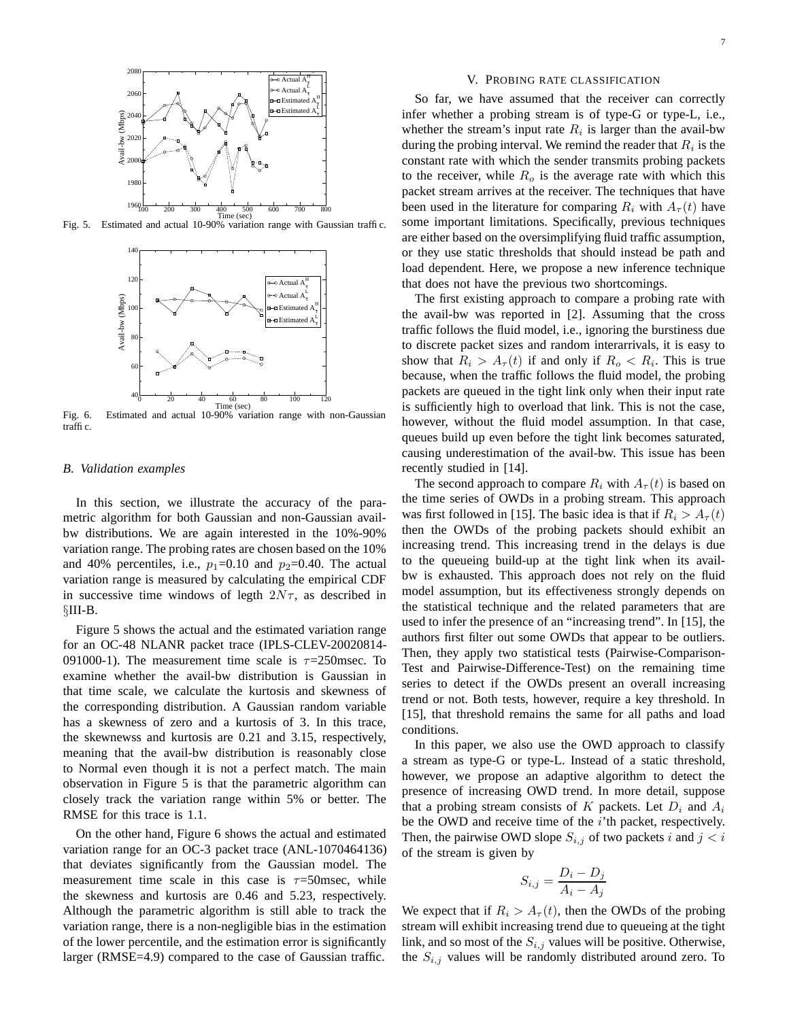

Fig. 5. Estimated and actual 10-90% variation range with Gaussian traffic.



Fig. 6. Estimated and actual 10-90% variation range with non-Gaussian traffic.

## *B. Validation examples*

In this section, we illustrate the accuracy of the parametric algorithm for both Gaussian and non-Gaussian availbw distributions. We are again interested in the 10%-90% variation range. The probing rates are chosen based on the 10% and 40% percentiles, i.e.,  $p_1=0.10$  and  $p_2=0.40$ . The actual variation range is measured by calculating the empirical CDF in successive time windows of legth  $2N\tau$ , as described in §III-B.

Figure 5 shows the actual and the estimated variation range for an OC-48 NLANR packet trace (IPLS-CLEV-20020814- 091000-1). The measurement time scale is  $\tau$ =250msec. To examine whether the avail-bw distribution is Gaussian in that time scale, we calculate the kurtosis and skewness of the corresponding distribution. A Gaussian random variable has a skewness of zero and a kurtosis of 3. In this trace, the skewnewss and kurtosis are 0.21 and 3.15, respectively, meaning that the avail-bw distribution is reasonably close to Normal even though it is not a perfect match. The main observation in Figure 5 is that the parametric algorithm can closely track the variation range within 5% or better. The RMSE for this trace is 1.1.

On the other hand, Figure 6 shows the actual and estimated variation range for an OC-3 packet trace (ANL-1070464136) that deviates significantly from the Gaussian model. The measurement time scale in this case is  $\tau = 50$ msec, while the skewness and kurtosis are 0.46 and 5.23, respectively. Although the parametric algorithm is still able to track the variation range, there is a non-negligible bias in the estimation of the lower percentile, and the estimation error is significantly larger (RMSE=4.9) compared to the case of Gaussian traffic.

#### V. PROBING RATE CLASSIFICATION

So far, we have assumed that the receiver can correctly infer whether a probing stream is of type-G or type-L, i.e., whether the stream's input rate  $R_i$  is larger than the avail-bw during the probing interval. We remind the reader that  $R_i$  is the constant rate with which the sender transmits probing packets to the receiver, while  $R_o$  is the average rate with which this packet stream arrives at the receiver. The techniques that have been used in the literature for comparing  $R_i$  with  $A_\tau(t)$  have some important limitations. Specifically, previous techniques are either based on the oversimplifying fluid traffic assumption, or they use static thresholds that should instead be path and load dependent. Here, we propose a new inference technique that does not have the previous two shortcomings.

The first existing approach to compare a probing rate with the avail-bw was reported in [2]. Assuming that the cross traffic follows the fluid model, i.e., ignoring the burstiness due to discrete packet sizes and random interarrivals, it is easy to show that  $R_i > A_\tau(t)$  if and only if  $R_o < R_i$ . This is true because, when the traffic follows the fluid model, the probing packets are queued in the tight link only when their input rate is sufficiently high to overload that link. This is not the case, however, without the fluid model assumption. In that case, queues build up even before the tight link becomes saturated, causing underestimation of the avail-bw. This issue has been recently studied in [14].

The second approach to compare  $R_i$  with  $A_\tau(t)$  is based on the time series of OWDs in a probing stream. This approach was first followed in [15]. The basic idea is that if  $R_i > A_\tau(t)$ then the OWDs of the probing packets should exhibit an increasing trend. This increasing trend in the delays is due to the queueing build-up at the tight link when its availbw is exhausted. This approach does not rely on the fluid model assumption, but its effectiveness strongly depends on the statistical technique and the related parameters that are used to infer the presence of an "increasing trend". In [15], the authors first filter out some OWDs that appear to be outliers. Then, they apply two statistical tests (Pairwise-Comparison-Test and Pairwise-Difference-Test) on the remaining time series to detect if the OWDs present an overall increasing trend or not. Both tests, however, require a key threshold. In [15], that threshold remains the same for all paths and load conditions.

In this paper, we also use the OWD approach to classify a stream as type-G or type-L. Instead of a static threshold, however, we propose an adaptive algorithm to detect the presence of increasing OWD trend. In more detail, suppose that a probing stream consists of  $K$  packets. Let  $D_i$  and  $A_i$ be the OWD and receive time of the  $i$ <sup>th</sup> packet, respectively. Then, the pairwise OWD slope  $S_{i,j}$  of two packets i and  $j < i$ of the stream is given by

$$
S_{i,j} = \frac{D_i - D_j}{A_i - A_j}
$$

We expect that if  $R_i > A_\tau(t)$ , then the OWDs of the probing stream will exhibit increasing trend due to queueing at the tight link, and so most of the  $S_{i,j}$  values will be positive. Otherwise, the  $S_{i,j}$  values will be randomly distributed around zero. To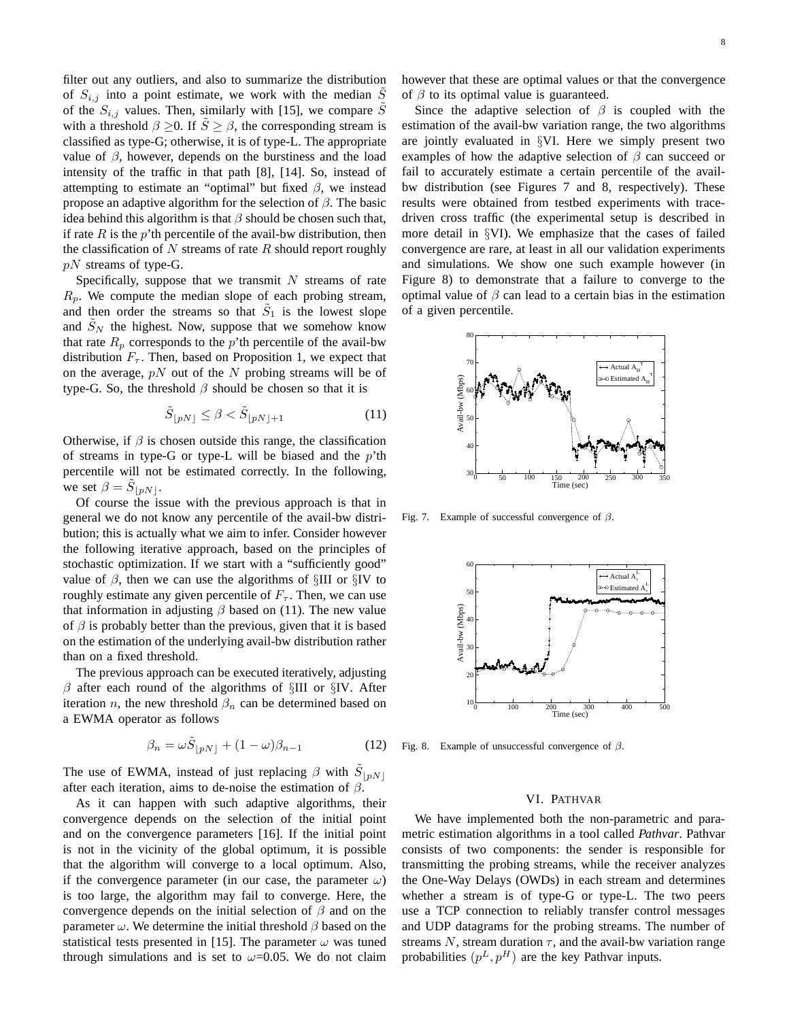filter out any outliers, and also to summarize the distribution of  $S_{i,j}$  into a point estimate, we work with the median S of the  $S_{i,j}$  values. Then, similarly with [15], we compare  $\tilde{S}$ with a threshold  $\beta \geq 0$ . If  $\tilde{S} \geq \beta$ , the corresponding stream is classified as type-G; otherwise, it is of type-L. The appropriate value of  $\beta$ , however, depends on the burstiness and the load intensity of the traffic in that path [8], [14]. So, instead of attempting to estimate an "optimal" but fixed  $\beta$ , we instead propose an adaptive algorithm for the selection of  $\beta$ . The basic idea behind this algorithm is that  $\beta$  should be chosen such that, if rate  $R$  is the  $p'$ th percentile of the avail-bw distribution, then the classification of  $N$  streams of rate  $R$  should report roughly  $pN$  streams of type-G.

Specifically, suppose that we transmit  $N$  streams of rate  $R_p$ . We compute the median slope of each probing stream, and then order the streams so that  $\tilde{S}_1$  is the lowest slope and  $S_N$  the highest. Now, suppose that we somehow know that rate  $R_p$  corresponds to the p'th percentile of the avail-bw distribution  $F_{\tau}$ . Then, based on Proposition 1, we expect that on the average,  $pN$  out of the N probing streams will be of type-G. So, the threshold  $\beta$  should be chosen so that it is

$$
\tilde{S}_{\lfloor pN \rfloor} \le \beta < \tilde{S}_{\lfloor pN \rfloor + 1} \tag{11}
$$

Otherwise, if  $\beta$  is chosen outside this range, the classification of streams in type-G or type-L will be biased and the  $p'$ th percentile will not be estimated correctly. In the following, we set  $\beta = \tilde{S}_{\lfloor pN \rfloor}$ .

Of course the issue with the previous approach is that in general we do not know any percentile of the avail-bw distribution; this is actually what we aim to infer. Consider however the following iterative approach, based on the principles of stochastic optimization. If we start with a "sufficiently good" value of  $\beta$ , then we can use the algorithms of §III or §IV to roughly estimate any given percentile of  $F_{\tau}$ . Then, we can use that information in adjusting  $\beta$  based on (11). The new value of  $\beta$  is probably better than the previous, given that it is based on the estimation of the underlying avail-bw distribution rather than on a fixed threshold.

The previous approach can be executed iteratively, adjusting  $\beta$  after each round of the algorithms of §III or §IV. After iteration *n*, the new threshold  $\beta_n$  can be determined based on a EWMA operator as follows

$$
\beta_n = \omega \tilde{S}_{\lfloor pN \rfloor} + (1 - \omega)\beta_{n-1} \tag{12}
$$

The use of EWMA, instead of just replacing  $\beta$  with  $\tilde{S}_{\lfloor pN \rfloor}$ after each iteration, aims to de-noise the estimation of  $\beta$ .

As it can happen with such adaptive algorithms, their convergence depends on the selection of the initial point and on the convergence parameters [16]. If the initial point is not in the vicinity of the global optimum, it is possible that the algorithm will converge to a local optimum. Also, if the convergence parameter (in our case, the parameter  $\omega$ ) is too large, the algorithm may fail to converge. Here, the convergence depends on the initial selection of  $\beta$  and on the parameter  $\omega$ . We determine the initial threshold  $\beta$  based on the statistical tests presented in [15]. The parameter  $\omega$  was tuned through simulations and is set to  $\omega$ =0.05. We do not claim however that these are optimal values or that the convergence of  $\beta$  to its optimal value is guaranteed.

Since the adaptive selection of  $\beta$  is coupled with the estimation of the avail-bw variation range, the two algorithms are jointly evaluated in §VI. Here we simply present two examples of how the adaptive selection of  $\beta$  can succeed or fail to accurately estimate a certain percentile of the availbw distribution (see Figures 7 and 8, respectively). These results were obtained from testbed experiments with tracedriven cross traffic (the experimental setup is described in more detail in §VI). We emphasize that the cases of failed convergence are rare, at least in all our validation experiments and simulations. We show one such example however (in Figure 8) to demonstrate that a failure to converge to the optimal value of  $\beta$  can lead to a certain bias in the estimation of a given percentile.



Fig. 7. Example of successful convergence of  $\beta$ .



Fig. 8. Example of unsuccessful convergence of  $\beta$ .

#### VI. PATHVAR

We have implemented both the non-parametric and parametric estimation algorithms in a tool called *Pathvar*. Pathvar consists of two components: the sender is responsible for transmitting the probing streams, while the receiver analyzes the One-Way Delays (OWDs) in each stream and determines whether a stream is of type-G or type-L. The two peers use a TCP connection to reliably transfer control messages and UDP datagrams for the probing streams. The number of streams N, stream duration  $\tau$ , and the avail-bw variation range probabilities  $(p^L, p^H)$  are the key Pathvar inputs.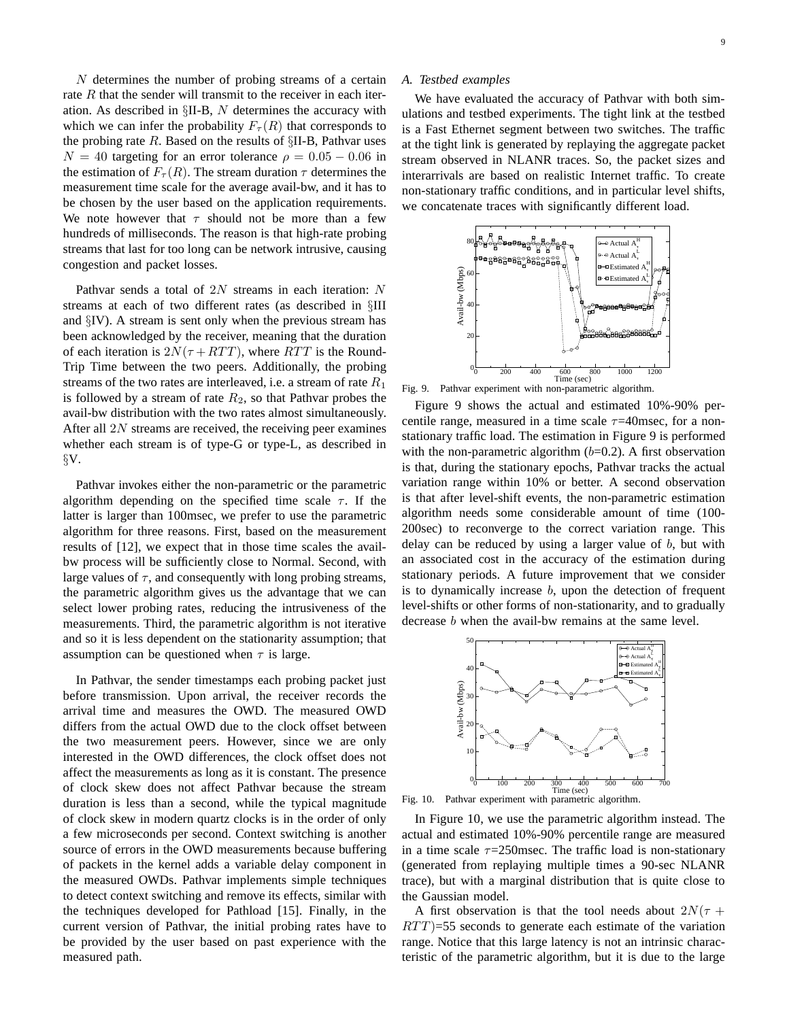N determines the number of probing streams of a certain rate  $R$  that the sender will transmit to the receiver in each iteration. As described in §II-B, N determines the accuracy with which we can infer the probability  $F_{\tau}(R)$  that corresponds to the probing rate  $R$ . Based on the results of  $\S$ II-B, Pathvar uses  $N = 40$  targeting for an error tolerance  $\rho = 0.05 - 0.06$  in the estimation of  $F_{\tau}(R)$ . The stream duration  $\tau$  determines the measurement time scale for the average avail-bw, and it has to be chosen by the user based on the application requirements. We note however that  $\tau$  should not be more than a few hundreds of milliseconds. The reason is that high-rate probing streams that last for too long can be network intrusive, causing congestion and packet losses.

Pathvar sends a total of 2N streams in each iteration: N streams at each of two different rates (as described in §III and §IV). A stream is sent only when the previous stream has been acknowledged by the receiver, meaning that the duration of each iteration is  $2N(\tau + RTT)$ , where RTT is the Round-Trip Time between the two peers. Additionally, the probing streams of the two rates are interleaved, i.e. a stream of rate  $R_1$ is followed by a stream of rate  $R_2$ , so that Pathvar probes the avail-bw distribution with the two rates almost simultaneously. After all  $2N$  streams are received, the receiving peer examines whether each stream is of type-G or type-L, as described in §V.

Pathvar invokes either the non-parametric or the parametric algorithm depending on the specified time scale  $\tau$ . If the latter is larger than 100msec, we prefer to use the parametric algorithm for three reasons. First, based on the measurement results of [12], we expect that in those time scales the availbw process will be sufficiently close to Normal. Second, with large values of  $\tau$ , and consequently with long probing streams, the parametric algorithm gives us the advantage that we can select lower probing rates, reducing the intrusiveness of the measurements. Third, the parametric algorithm is not iterative and so it is less dependent on the stationarity assumption; that assumption can be questioned when  $\tau$  is large.

In Pathvar, the sender timestamps each probing packet just before transmission. Upon arrival, the receiver records the arrival time and measures the OWD. The measured OWD differs from the actual OWD due to the clock offset between the two measurement peers. However, since we are only interested in the OWD differences, the clock offset does not affect the measurements as long as it is constant. The presence of clock skew does not affect Pathvar because the stream duration is less than a second, while the typical magnitude of clock skew in modern quartz clocks is in the order of only a few microseconds per second. Context switching is another source of errors in the OWD measurements because buffering of packets in the kernel adds a variable delay component in the measured OWDs. Pathvar implements simple techniques to detect context switching and remove its effects, similar with the techniques developed for Pathload [15]. Finally, in the current version of Pathvar, the initial probing rates have to be provided by the user based on past experience with the measured path.

#### *A. Testbed examples*

We have evaluated the accuracy of Pathvar with both simulations and testbed experiments. The tight link at the testbed is a Fast Ethernet segment between two switches. The traffic at the tight link is generated by replaying the aggregate packet stream observed in NLANR traces. So, the packet sizes and interarrivals are based on realistic Internet traffic. To create non-stationary traffic conditions, and in particular level shifts, we concatenate traces with significantly different load.



Fig. 9. Pathvar experiment with non-parametric algorithm.

Figure 9 shows the actual and estimated 10%-90% percentile range, measured in a time scale  $\tau$ =40msec, for a nonstationary traffic load. The estimation in Figure 9 is performed with the non-parametric algorithm  $(b=0.2)$ . A first observation is that, during the stationary epochs, Pathvar tracks the actual variation range within 10% or better. A second observation is that after level-shift events, the non-parametric estimation algorithm needs some considerable amount of time (100- 200sec) to reconverge to the correct variation range. This delay can be reduced by using a larger value of  $b$ , but with an associated cost in the accuracy of the estimation during stationary periods. A future improvement that we consider is to dynamically increase  $b$ , upon the detection of frequent level-shifts or other forms of non-stationarity, and to gradually decrease *b* when the avail-bw remains at the same level.



Fig. 10. Pathvar experiment with parametric algorithm.

In Figure 10, we use the parametric algorithm instead. The actual and estimated 10%-90% percentile range are measured in a time scale  $\tau = 250$ msec. The traffic load is non-stationary (generated from replaying multiple times a 90-sec NLANR trace), but with a marginal distribution that is quite close to the Gaussian model.

A first observation is that the tool needs about  $2N(\tau +$  $RTT$ )=55 seconds to generate each estimate of the variation range. Notice that this large latency is not an intrinsic characteristic of the parametric algorithm, but it is due to the large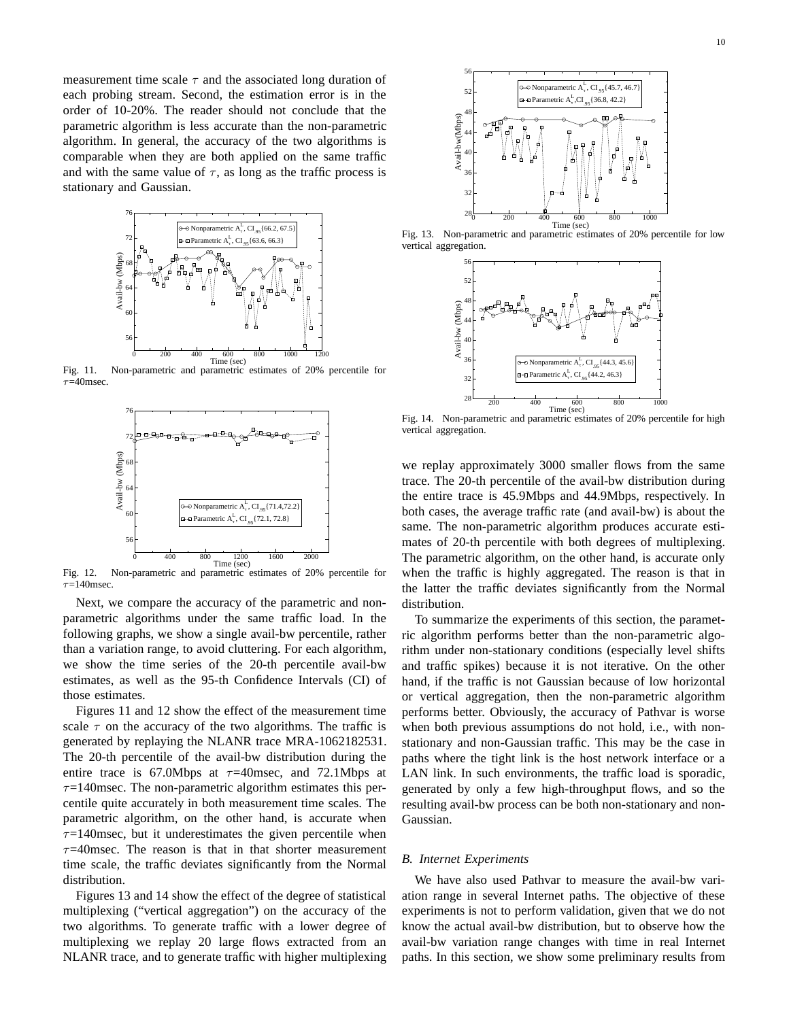measurement time scale  $\tau$  and the associated long duration of each probing stream. Second, the estimation error is in the order of 10-20%. The reader should not conclude that the parametric algorithm is less accurate than the non-parametric algorithm. In general, the accuracy of the two algorithms is comparable when they are both applied on the same traffic and with the same value of  $\tau$ , as long as the traffic process is stationary and Gaussian.



Fig. 11. Non-parametric and parametric estimates of 20% percentile for  $\tau=40$ msec.



Fig. 12. Non-parametric and parametric estimates of 20% percentile for  $\tau$ =140msec.

Next, we compare the accuracy of the parametric and nonparametric algorithms under the same traffic load. In the following graphs, we show a single avail-bw percentile, rather than a variation range, to avoid cluttering. For each algorithm, we show the time series of the 20-th percentile avail-bw estimates, as well as the 95-th Confidence Intervals (CI) of those estimates.

Figures 11 and 12 show the effect of the measurement time scale  $\tau$  on the accuracy of the two algorithms. The traffic is generated by replaying the NLANR trace MRA-1062182531. The 20-th percentile of the avail-bw distribution during the entire trace is 67.0Mbps at  $\tau$ =40msec, and 72.1Mbps at  $\tau$ =140msec. The non-parametric algorithm estimates this percentile quite accurately in both measurement time scales. The parametric algorithm, on the other hand, is accurate when  $\tau$ =140msec, but it underestimates the given percentile when  $\tau$ =40msec. The reason is that in that shorter measurement time scale, the traffic deviates significantly from the Normal distribution.

Figures 13 and 14 show the effect of the degree of statistical multiplexing ("vertical aggregation") on the accuracy of the two algorithms. To generate traffic with a lower degree of multiplexing we replay 20 large flows extracted from an NLANR trace, and to generate traffic with higher multiplexing



Fig. 13. Non-parametric and parametric estimates of 20% percentile for low vertical aggregation.



Fig. 14. Non-parametric and parametric estimates of 20% percentile for high vertical aggregation.

we replay approximately 3000 smaller flows from the same trace. The 20-th percentile of the avail-bw distribution during the entire trace is 45.9Mbps and 44.9Mbps, respectively. In both cases, the average traffic rate (and avail-bw) is about the same. The non-parametric algorithm produces accurate estimates of 20-th percentile with both degrees of multiplexing. The parametric algorithm, on the other hand, is accurate only when the traffic is highly aggregated. The reason is that in the latter the traffic deviates significantly from the Normal distribution.

To summarize the experiments of this section, the parametric algorithm performs better than the non-parametric algorithm under non-stationary conditions (especially level shifts and traffic spikes) because it is not iterative. On the other hand, if the traffic is not Gaussian because of low horizontal or vertical aggregation, then the non-parametric algorithm performs better. Obviously, the accuracy of Pathvar is worse when both previous assumptions do not hold, i.e., with nonstationary and non-Gaussian traffic. This may be the case in paths where the tight link is the host network interface or a LAN link. In such environments, the traffic load is sporadic, generated by only a few high-throughput flows, and so the resulting avail-bw process can be both non-stationary and non-Gaussian.

#### *B. Internet Experiments*

We have also used Pathvar to measure the avail-bw variation range in several Internet paths. The objective of these experiments is not to perform validation, given that we do not know the actual avail-bw distribution, but to observe how the avail-bw variation range changes with time in real Internet paths. In this section, we show some preliminary results from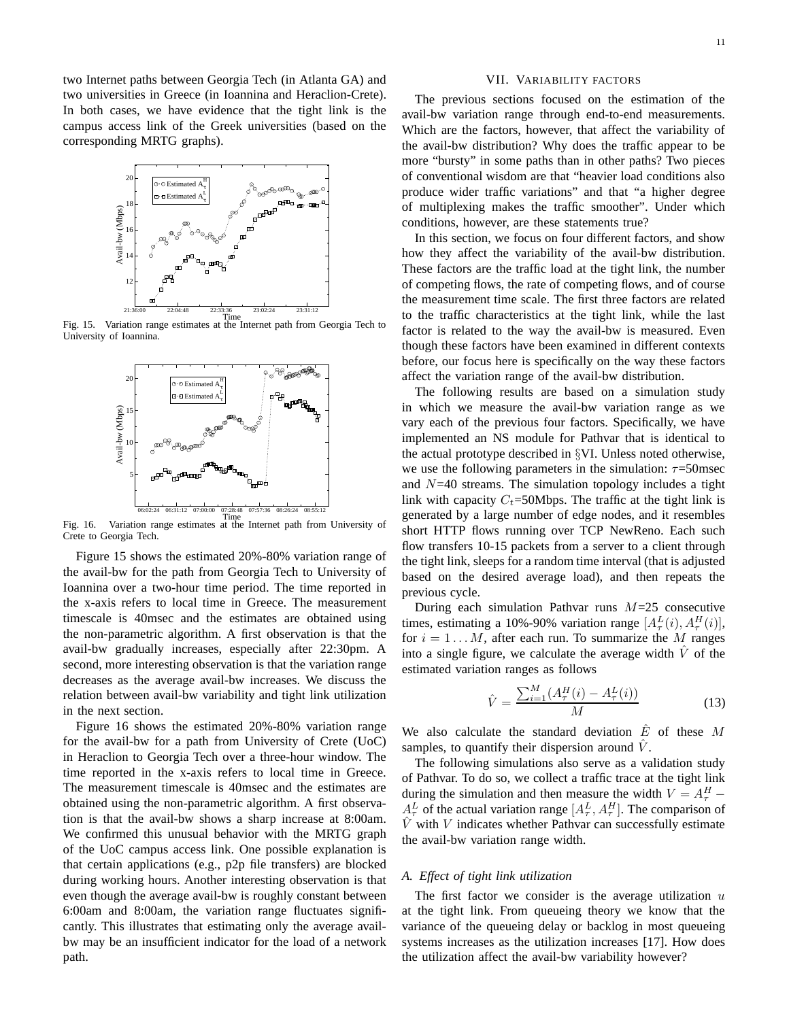two Internet paths between Georgia Tech (in Atlanta GA) and two universities in Greece (in Ioannina and Heraclion-Crete). In both cases, we have evidence that the tight link is the campus access link of the Greek universities (based on the corresponding MRTG graphs).



Fig. 15. Variation range estimates at the Internet path from Georgia Tech to University of Ioannina.



Fig. 16. Variation range estimates at the Internet path from University of Crete to Georgia Tech.

Figure 15 shows the estimated 20%-80% variation range of the avail-bw for the path from Georgia Tech to University of Ioannina over a two-hour time period. The time reported in the x-axis refers to local time in Greece. The measurement timescale is 40msec and the estimates are obtained using the non-parametric algorithm. A first observation is that the avail-bw gradually increases, especially after 22:30pm. A second, more interesting observation is that the variation range decreases as the average avail-bw increases. We discuss the relation between avail-bw variability and tight link utilization in the next section.

Figure 16 shows the estimated 20%-80% variation range for the avail-bw for a path from University of Crete (UoC) in Heraclion to Georgia Tech over a three-hour window. The time reported in the x-axis refers to local time in Greece. The measurement timescale is 40msec and the estimates are obtained using the non-parametric algorithm. A first observation is that the avail-bw shows a sharp increase at 8:00am. We confirmed this unusual behavior with the MRTG graph of the UoC campus access link. One possible explanation is that certain applications (e.g., p2p file transfers) are blocked during working hours. Another interesting observation is that even though the average avail-bw is roughly constant between 6:00am and 8:00am, the variation range fluctuates significantly. This illustrates that estimating only the average availbw may be an insufficient indicator for the load of a network path.

## VII. VARIABILITY FACTORS

The previous sections focused on the estimation of the avail-bw variation range through end-to-end measurements. Which are the factors, however, that affect the variability of the avail-bw distribution? Why does the traffic appear to be more "bursty" in some paths than in other paths? Two pieces of conventional wisdom are that "heavier load conditions also produce wider traffic variations" and that "a higher degree of multiplexing makes the traffic smoother". Under which conditions, however, are these statements true?

In this section, we focus on four different factors, and show how they affect the variability of the avail-bw distribution. These factors are the traffic load at the tight link, the number of competing flows, the rate of competing flows, and of course the measurement time scale. The first three factors are related to the traffic characteristics at the tight link, while the last factor is related to the way the avail-bw is measured. Even though these factors have been examined in different contexts before, our focus here is specifically on the way these factors affect the variation range of the avail-bw distribution.

The following results are based on a simulation study in which we measure the avail-bw variation range as we vary each of the previous four factors. Specifically, we have implemented an NS module for Pathvar that is identical to the actual prototype described in §VI. Unless noted otherwise, we use the following parameters in the simulation:  $\tau = 50$ msec and  $N=40$  streams. The simulation topology includes a tight link with capacity  $C_t$ =50Mbps. The traffic at the tight link is generated by a large number of edge nodes, and it resembles short HTTP flows running over TCP NewReno. Each such flow transfers 10-15 packets from a server to a client through the tight link, sleeps for a random time interval (that is adjusted based on the desired average load), and then repeats the previous cycle.

During each simulation Pathvar runs  $M=25$  consecutive times, estimating a 10%-90% variation range  $[A_\tau^L(i), A_\tau^H(i)],$ for  $i = 1...M$ , after each run. To summarize the M ranges into a single figure, we calculate the average width  $\hat{V}$  of the estimated variation ranges as follows

$$
\hat{V} = \frac{\sum_{i=1}^{M} (A_{\tau}^{H}(i) - A_{\tau}^{L}(i))}{M}
$$
\n(13)

We also calculate the standard deviation  $\hat{E}$  of these M samples, to quantify their dispersion around  $\hat{V}$ .

The following simulations also serve as a validation study of Pathvar. To do so, we collect a traffic trace at the tight link during the simulation and then measure the width  $V = A_{\tau}^H A^L_\tau$  of the actual variation range  $[A^L_\tau, A^H_\tau]$ . The comparison of  $\hat{V}$  with V indicates whether Pathvar can successfully estimate the avail-bw variation range width.

#### *A. Effect of tight link utilization*

The first factor we consider is the average utilization  $u$ at the tight link. From queueing theory we know that the variance of the queueing delay or backlog in most queueing systems increases as the utilization increases [17]. How does the utilization affect the avail-bw variability however?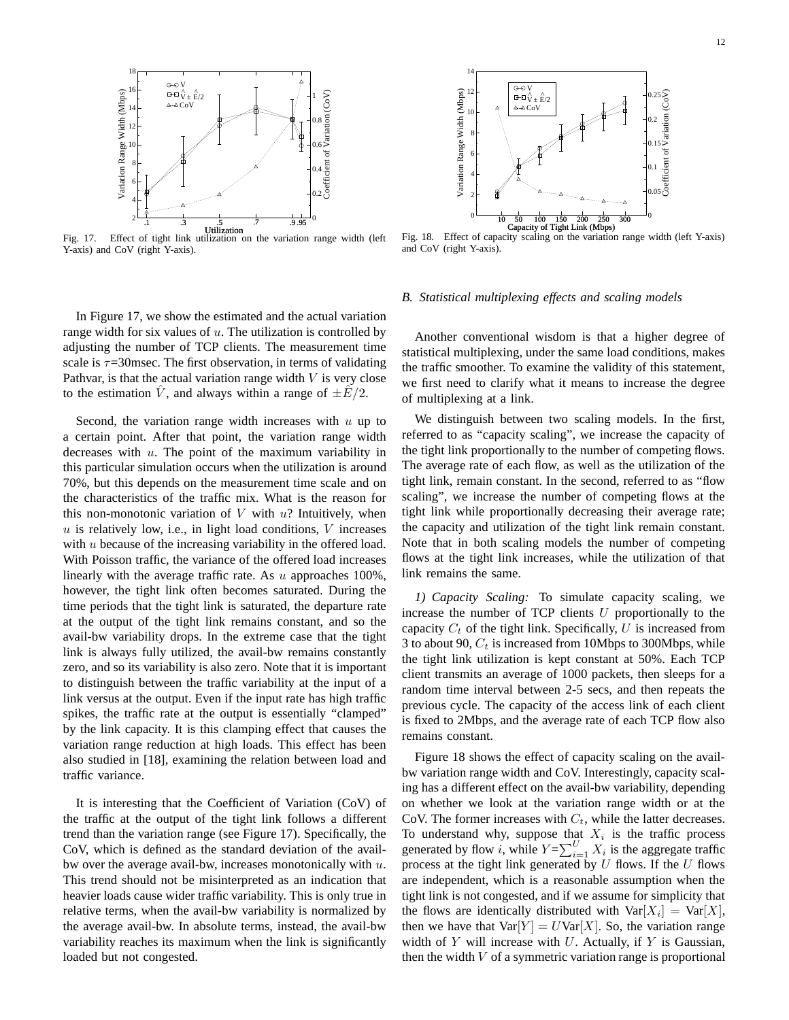

Y-axis) and CoV (right Y-axis).



Fig. 18. Effect of capacity scaling on the variation range width (left Y-axis) and CoV (right Y-axis).

## In Figure 17, we show the estimated and the actual variation range width for six values of  $u$ . The utilization is controlled by adjusting the number of TCP clients. The measurement time scale is  $\tau$ =30msec. The first observation, in terms of validating Pathvar, is that the actual variation range width  $V$  is very close to the estimation  $\hat{V}$ , and always within a range of  $\pm E/2$ .

Second, the variation range width increases with  $u$  up to a certain point. After that point, the variation range width decreases with  $u$ . The point of the maximum variability in this particular simulation occurs when the utilization is around 70%, but this depends on the measurement time scale and on the characteristics of the traffic mix. What is the reason for this non-monotonic variation of  $V$  with  $u$ ? Intuitively, when  $u$  is relatively low, i.e., in light load conditions,  $V$  increases with  $u$  because of the increasing variability in the offered load. With Poisson traffic, the variance of the offered load increases linearly with the average traffic rate. As  $u$  approaches 100%, however, the tight link often becomes saturated. During the time periods that the tight link is saturated, the departure rate at the output of the tight link remains constant, and so the avail-bw variability drops. In the extreme case that the tight link is always fully utilized, the avail-bw remains constantly zero, and so its variability is also zero. Note that it is important to distinguish between the traffic variability at the input of a link versus at the output. Even if the input rate has high traffic spikes, the traffic rate at the output is essentially "clamped" by the link capacity. It is this clamping effect that causes the variation range reduction at high loads. This effect has been also studied in [18], examining the relation between load and traffic variance.

It is interesting that the Coefficient of Variation (CoV) of the traffic at the output of the tight link follows a different trend than the variation range (see Figure 17). Specifically, the CoV, which is defined as the standard deviation of the availbw over the average avail-bw, increases monotonically with  $u$ . This trend should not be misinterpreted as an indication that heavier loads cause wider traffic variability. This is only true in relative terms, when the avail-bw variability is normalized by the average avail-bw. In absolute terms, instead, the avail-bw variability reaches its maximum when the link is significantly loaded but not congested.

#### *B. Statistical multiplexing effects and scaling models*

Another conventional wisdom is that a higher degree of statistical multiplexing, under the same load conditions, makes the traffic smoother. To examine the validity of this statement, we first need to clarify what it means to increase the degree of multiplexing at a link.

We distinguish between two scaling models. In the first, referred to as "capacity scaling", we increase the capacity of the tight link proportionally to the number of competing flows. The average rate of each flow, as well as the utilization of the tight link, remain constant. In the second, referred to as "flow scaling", we increase the number of competing flows at the tight link while proportionally decreasing their average rate; the capacity and utilization of the tight link remain constant. Note that in both scaling models the number of competing flows at the tight link increases, while the utilization of that link remains the same.

*1) Capacity Scaling:* To simulate capacity scaling, we increase the number of TCP clients  $U$  proportionally to the capacity  $C_t$  of the tight link. Specifically, U is increased from 3 to about 90,  $C_t$  is increased from 10Mbps to 300Mbps, while the tight link utilization is kept constant at 50%. Each TCP client transmits an average of 1000 packets, then sleeps for a random time interval between 2-5 secs, and then repeats the previous cycle. The capacity of the access link of each client is fixed to 2Mbps, and the average rate of each TCP flow also remains constant.

Figure 18 shows the effect of capacity scaling on the availbw variation range width and CoV. Interestingly, capacity scaling has a different effect on the avail-bw variability, depending on whether we look at the variation range width or at the CoV. The former increases with  $C_t$ , while the latter decreases. To understand why, suppose that  $X_i$  is the traffic process generated by flow i, while  $Y = \sum_{i=1}^{U} X_i$  is the aggregate traffic process at the tight link generated by  $U$  flows. If the  $U$  flows are independent, which is a reasonable assumption when the tight link is not congested, and if we assume for simplicity that the flows are identically distributed with  $Var[X_i] = Var[X]$ , then we have that  $Var[Y] = UVar[X]$ . So, the variation range width of  $Y$  will increase with  $U$ . Actually, if  $Y$  is Gaussian, then the width  $V$  of a symmetric variation range is proportional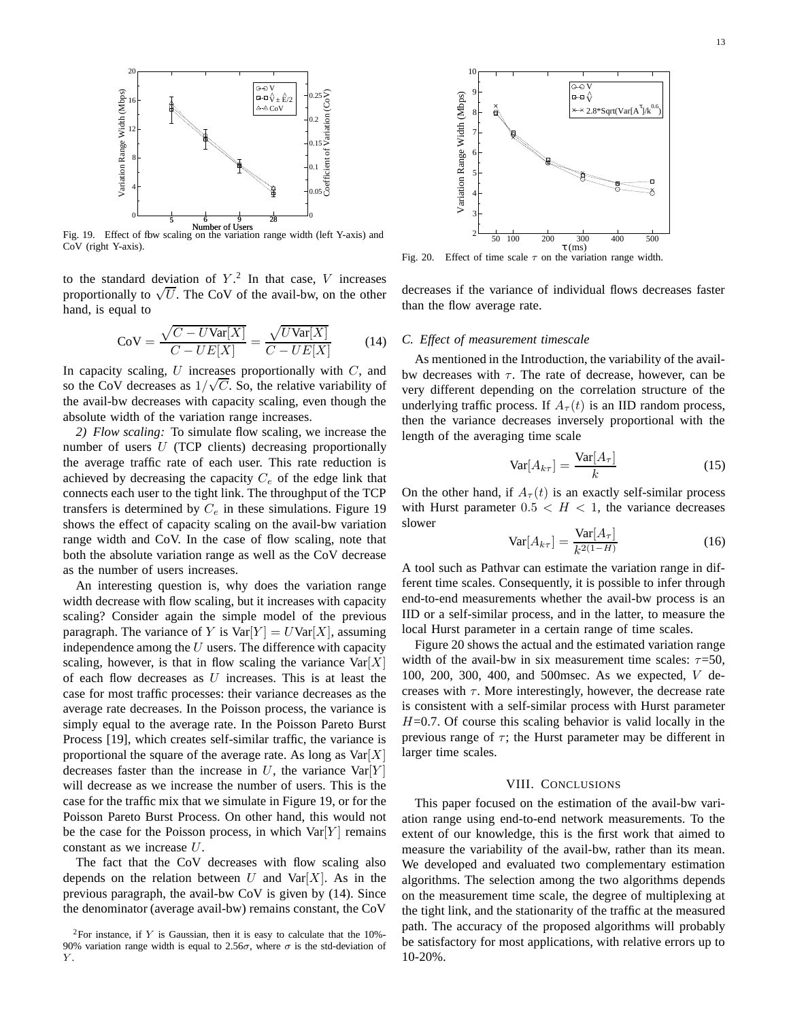

Fig. 19. Effect of flow scaling on the variation range width (left Y-axis) and CoV (right Y-axis).

to the standard deviation of  $Y<sup>2</sup>$ . In that case, V increases proportionally to  $\sqrt{U}$ . The CoV of the avail-bw, on the other hand, is equal to

$$
CoV = \frac{\sqrt{C - U\text{Var}[X]}}{C - UE[X]} = \frac{\sqrt{U\text{Var}[X]}}{C - UE[X]} \tag{14}
$$

In capacity scaling,  $U$  increases proportionally with  $C$ , and so the CoV decreases as  $1/\sqrt{C}$ . So, the relative variability of the avail-bw decreases with capacity scaling, even though the absolute width of the variation range increases.

*2) Flow scaling:* To simulate flow scaling, we increase the number of users U (TCP clients) decreasing proportionally the average traffic rate of each user. This rate reduction is achieved by decreasing the capacity  $C_e$  of the edge link that connects each user to the tight link. The throughput of the TCP transfers is determined by  $C_e$  in these simulations. Figure 19 shows the effect of capacity scaling on the avail-bw variation range width and CoV. In the case of flow scaling, note that both the absolute variation range as well as the CoV decrease as the number of users increases.

An interesting question is, why does the variation range width decrease with flow scaling, but it increases with capacity scaling? Consider again the simple model of the previous paragraph. The variance of Y is  $Var[Y] = UVar[X]$ , assuming independence among the  $U$  users. The difference with capacity scaling, however, is that in flow scaling the variance  $Var[X]$ of each flow decreases as  $U$  increases. This is at least the case for most traffic processes: their variance decreases as the average rate decreases. In the Poisson process, the variance is simply equal to the average rate. In the Poisson Pareto Burst Process [19], which creates self-similar traffic, the variance is proportional the square of the average rate. As long as  $\text{Var}[X]$ decreases faster than the increase in  $U$ , the variance  $Var[Y]$ will decrease as we increase the number of users. This is the case for the traffic mix that we simulate in Figure 19, or for the Poisson Pareto Burst Process. On other hand, this would not be the case for the Poisson process, in which  $Var[Y]$  remains constant as we increase U.

The fact that the CoV decreases with flow scaling also depends on the relation between  $U$  and  $Var[X]$ . As in the previous paragraph, the avail-bw CoV is given by (14). Since the denominator (average avail-bw) remains constant, the CoV



Fig. 20. Effect of time scale  $\tau$  on the variation range width.

decreases if the variance of individual flows decreases faster than the flow average rate.

#### *C. Effect of measurement timescale*

As mentioned in the Introduction, the variability of the availbw decreases with  $\tau$ . The rate of decrease, however, can be very different depending on the correlation structure of the underlying traffic process. If  $A_{\tau}(t)$  is an IID random process, then the variance decreases inversely proportional with the length of the averaging time scale

$$
\text{Var}[A_{k\tau}] = \frac{\text{Var}[A_{\tau}]}{k} \tag{15}
$$

On the other hand, if  $A_{\tau}(t)$  is an exactly self-similar process with Hurst parameter  $0.5 < H < 1$ , the variance decreases slower

$$
\text{Var}[A_{k\tau}] = \frac{\text{Var}[A_{\tau}]}{k^{2(1-H)}}\tag{16}
$$

A tool such as Pathvar can estimate the variation range in different time scales. Consequently, it is possible to infer through end-to-end measurements whether the avail-bw process is an IID or a self-similar process, and in the latter, to measure the local Hurst parameter in a certain range of time scales.

Figure 20 shows the actual and the estimated variation range width of the avail-bw in six measurement time scales:  $\tau$ =50, 100, 200, 300, 400, and 500msec. As we expected, V decreases with  $\tau$ . More interestingly, however, the decrease rate is consistent with a self-similar process with Hurst parameter  $H=0.7$ . Of course this scaling behavior is valid locally in the previous range of  $\tau$ ; the Hurst parameter may be different in larger time scales.

## VIII. CONCLUSIONS

This paper focused on the estimation of the avail-bw variation range using end-to-end network measurements. To the extent of our knowledge, this is the first work that aimed to measure the variability of the avail-bw, rather than its mean. We developed and evaluated two complementary estimation algorithms. The selection among the two algorithms depends on the measurement time scale, the degree of multiplexing at the tight link, and the stationarity of the traffic at the measured path. The accuracy of the proposed algorithms will probably be satisfactory for most applications, with relative errors up to 10-20%.

<sup>&</sup>lt;sup>2</sup>For instance, if Y is Gaussian, then it is easy to calculate that the 10%-90% variation range width is equal to 2.56 $\sigma$ , where  $\sigma$  is the std-deviation of  $Y$ .